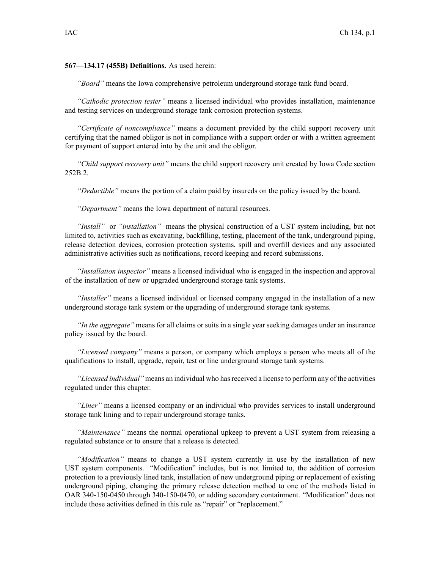**567—134.17 (455B) Definitions.** As used herein:

*"Board"* means the Iowa comprehensive petroleum underground storage tank fund board.

*"Cathodic protection tester"* means <sup>a</sup> licensed individual who provides installation, maintenance and testing services on underground storage tank corrosion protection systems.

*"Certificate of noncompliance"* means <sup>a</sup> document provided by the child suppor<sup>t</sup> recovery unit certifying that the named obligor is not in compliance with <sup>a</sup> suppor<sup>t</sup> order or with <sup>a</sup> written agreemen<sup>t</sup> for paymen<sup>t</sup> of suppor<sup>t</sup> entered into by the unit and the obligor.

*"Child suppor<sup>t</sup> recovery unit"* means the child suppor<sup>t</sup> recovery unit created by Iowa Code section 252B.2.

*"Deductible"* means the portion of <sup>a</sup> claim paid by insureds on the policy issued by the board.

*"Department"* means the Iowa department of natural resources.

*"Install"* or *"installation"* means the physical construction of <sup>a</sup> UST system including, but not limited to, activities such as excavating, backfilling, testing, placement of the tank, underground piping, release detection devices, corrosion protection systems, spill and overfill devices and any associated administrative activities such as notifications, record keeping and record submissions.

*"Installation inspector"* means <sup>a</sup> licensed individual who is engaged in the inspection and approval of the installation of new or upgraded underground storage tank systems.

*"Installer"* means <sup>a</sup> licensed individual or licensed company engaged in the installation of <sup>a</sup> new underground storage tank system or the upgrading of underground storage tank systems.

*"In the aggregate"* means for all claims or suits in <sup>a</sup> single year seeking damages under an insurance policy issued by the board.

*"Licensed company"* means <sup>a</sup> person, or company which employs <sup>a</sup> person who meets all of the qualifications to install, upgrade, repair, test or line underground storage tank systems.

*"Licensed individual"* means an individual who hasreceived <sup>a</sup> license to perform any of the activities regulated under this chapter.

*"Liner"* means <sup>a</sup> licensed company or an individual who provides services to install underground storage tank lining and to repair underground storage tanks.

*"Maintenance"* means the normal operational upkeep to preven<sup>t</sup> <sup>a</sup> UST system from releasing <sup>a</sup> regulated substance or to ensure that <sup>a</sup> release is detected.

*"Modification"* means to change <sup>a</sup> UST system currently in use by the installation of new UST system components. "Modification" includes, but is not limited to, the addition of corrosion protection to <sup>a</sup> previously lined tank, installation of new underground piping or replacement of existing underground piping, changing the primary release detection method to one of the methods listed in OAR 340-150-0450 through 340-150-0470, or adding secondary containment. "Modification" does not include those activities defined in this rule as "repair" or "replacement."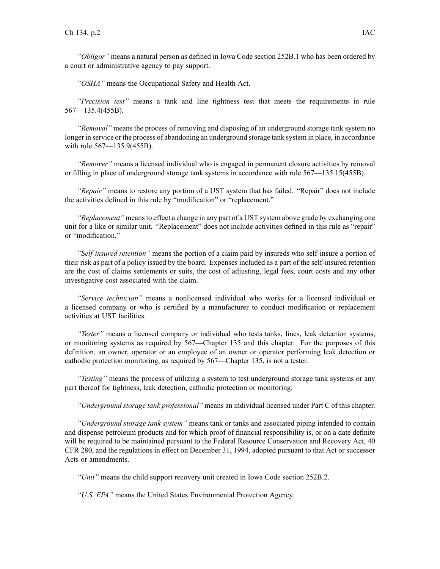*"Obligor"* means <sup>a</sup> natural person as defined in Iowa Code section 252B.1 who has been ordered by <sup>a</sup> court or administrative agency to pay support.

*"OSHA"* means the Occupational Safety and Health Act.

*"Precision test"* means <sup>a</sup> tank and line tightness test that meets the requirements in rule 567—135.4(455B).

*"Removal"* means the process of removing and disposing of an underground storage tank system no longer in service or the process of abandoning an underground storage tank system in place, in accordance with rule 567—135.9(455B).

*"Remover"* means <sup>a</sup> licensed individual who is engaged in permanen<sup>t</sup> closure activities by removal or filling in place of underground storage tank systems in accordance with rule 567—135.15(455B).

*"Repair"* means to restore any portion of <sup>a</sup> UST system that has failed. "Repair" does not include the activities defined in this rule by "modification" or "replacement."

*"Replacement"* meansto effect <sup>a</sup> change in any par<sup>t</sup> of <sup>a</sup> UST system above grade by exchanging one unit for <sup>a</sup> like or similar unit. "Replacement" does not include activities defined in this rule as "repair" or "modification."

*"Self-insured retention"* means the portion of <sup>a</sup> claim paid by insureds who self-insure <sup>a</sup> portion of their risk as par<sup>t</sup> of <sup>a</sup> policy issued by the board. Expenses included as <sup>a</sup> par<sup>t</sup> of the self-insured retention are the cost of claims settlements or suits, the cost of adjusting, legal fees, court costs and any other investigative cost associated with the claim.

*"Service technician"* means <sup>a</sup> nonlicensed individual who works for <sup>a</sup> licensed individual or <sup>a</sup> licensed company or who is certified by <sup>a</sup> manufacturer to conduct modification or replacement activities at UST facilities.

*"Tester"* means <sup>a</sup> licensed company or individual who tests tanks, lines, leak detection systems, or monitoring systems as required by 567—Chapter 135 and this chapter. For the purposes of this definition, an owner, operator or an employee of an owner or operator performing leak detection or cathodic protection monitoring, as required by 567—Chapter 135, is not <sup>a</sup> tester.

*"Testing"* means the process of utilizing <sup>a</sup> system to test underground storage tank systems or any par<sup>t</sup> thereof for tightness, leak detection, cathodic protection or monitoring.

*"Underground storage tank professional"* means an individual licensed under Part C of this chapter.

*"Underground storage tank system"* means tank or tanks and associated piping intended to contain and dispense petroleum products and for which proof of financial responsibility is, or on <sup>a</sup> date definite will be required to be maintained pursuant to the Federal Resource Conservation and Recovery Act, 40 CFR 280, and the regulations in effect on December 31, 1994, adopted pursuan<sup>t</sup> to that Act or successor Acts or amendments.

*"Unit"* means the child suppor<sup>t</sup> recovery unit created in Iowa Code section 252B.2.

*"U.S. EPA"* means the United States Environmental Protection Agency.